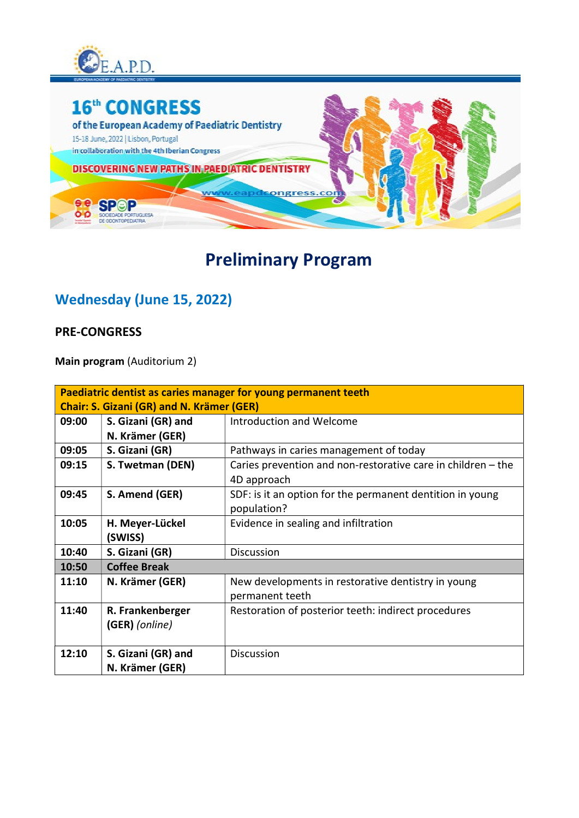



# Preliminary Program

### Wednesday (June 15, 2022)

#### PRE-CONGRESS

Main program (Auditorium 2)

| Paediatric dentist as caries manager for young permanent teeth |                                       |                                                                             |
|----------------------------------------------------------------|---------------------------------------|-----------------------------------------------------------------------------|
| <b>Chair: S. Gizani (GR) and N. Krämer (GER)</b>               |                                       |                                                                             |
| 09:00                                                          | S. Gizani (GR) and                    | Introduction and Welcome                                                    |
|                                                                | N. Krämer (GER)                       |                                                                             |
| 09:05                                                          | S. Gizani (GR)                        | Pathways in caries management of today                                      |
| 09:15                                                          | S. Twetman (DEN)                      | Caries prevention and non-restorative care in children - the<br>4D approach |
| 09:45                                                          | S. Amend (GER)                        | SDF: is it an option for the permanent dentition in young<br>population?    |
| 10:05                                                          | H. Meyer-Lückel                       | Evidence in sealing and infiltration                                        |
|                                                                | (SWISS)                               |                                                                             |
| 10:40                                                          | S. Gizani (GR)                        | <b>Discussion</b>                                                           |
| 10:50                                                          | <b>Coffee Break</b>                   |                                                                             |
| 11:10                                                          | N. Krämer (GER)                       | New developments in restorative dentistry in young<br>permanent teeth       |
| 11:40                                                          | R. Frankenberger<br>(GER) (online)    | Restoration of posterior teeth: indirect procedures                         |
| 12:10                                                          | S. Gizani (GR) and<br>N. Krämer (GER) | <b>Discussion</b>                                                           |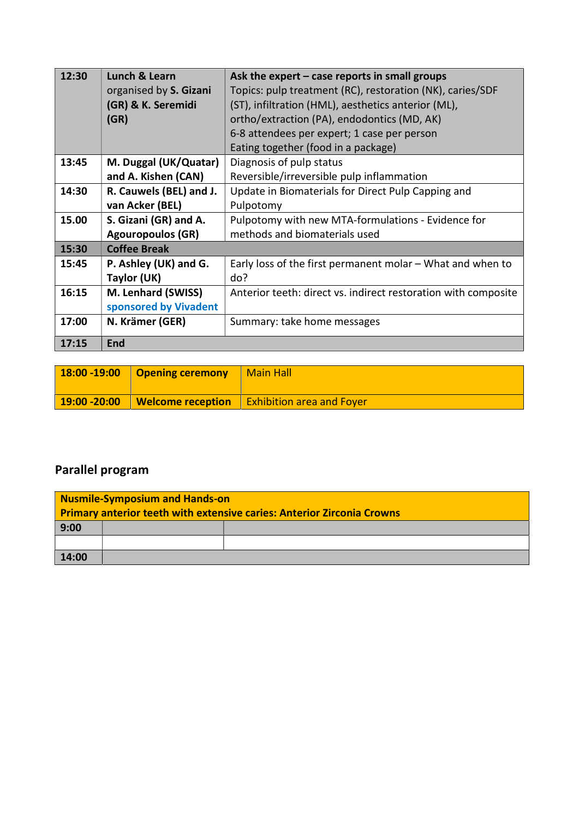| 12:30 | <b>Lunch &amp; Learn</b> | Ask the expert $-$ case reports in small groups                |
|-------|--------------------------|----------------------------------------------------------------|
|       | organised by S. Gizani   | Topics: pulp treatment (RC), restoration (NK), caries/SDF      |
|       | (GR) & K. Seremidi       | (ST), infiltration (HML), aesthetics anterior (ML),            |
|       | (GR)                     | ortho/extraction (PA), endodontics (MD, AK)                    |
|       |                          | 6-8 attendees per expert; 1 case per person                    |
|       |                          | Eating together (food in a package)                            |
| 13:45 | M. Duggal (UK/Quatar)    | Diagnosis of pulp status                                       |
|       | and A. Kishen (CAN)      | Reversible/irreversible pulp inflammation                      |
| 14:30 | R. Cauwels (BEL) and J.  | Update in Biomaterials for Direct Pulp Capping and             |
|       | van Acker (BEL)          | Pulpotomy                                                      |
| 15.00 | S. Gizani (GR) and A.    | Pulpotomy with new MTA-formulations - Evidence for             |
|       | <b>Agouropoulos (GR)</b> | methods and biomaterials used                                  |
| 15:30 | <b>Coffee Break</b>      |                                                                |
| 15:45 | P. Ashley (UK) and G.    | Early loss of the first permanent molar – What and when to     |
|       | Taylor (UK)              | do?                                                            |
| 16:15 | M. Lenhard (SWISS)       | Anterior teeth: direct vs. indirect restoration with composite |
|       | sponsored by Vivadent    |                                                                |
| 17:00 | N. Krämer (GER)          | Summary: take home messages                                    |
| 17:15 | <b>End</b>               |                                                                |

| $18:00 - 19:00$ | Opening ceremony         | <b>Main Hall</b>                 |
|-----------------|--------------------------|----------------------------------|
| $19:00 - 20:00$ | <b>Welcome reception</b> | <b>Exhibition area and Foyer</b> |

### Parallel program

| <b>Nusmile-Symposium and Hands-on</b>                                         |  |  |
|-------------------------------------------------------------------------------|--|--|
| <b>Primary anterior teeth with extensive caries: Anterior Zirconia Crowns</b> |  |  |
| 9:00                                                                          |  |  |
|                                                                               |  |  |
| 14:00                                                                         |  |  |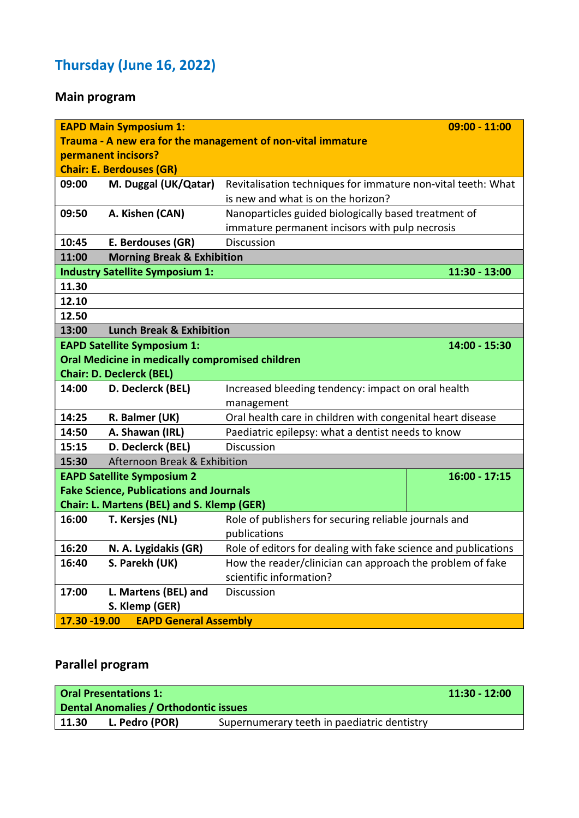# Thursday (June 16, 2022)

### Main program

|                                                             | <b>EAPD Main Symposium 1:</b>                   |                                                                | $09:00 - 11:00$ |  |
|-------------------------------------------------------------|-------------------------------------------------|----------------------------------------------------------------|-----------------|--|
| Trauma - A new era for the management of non-vital immature |                                                 |                                                                |                 |  |
| permanent incisors?                                         |                                                 |                                                                |                 |  |
|                                                             | <b>Chair: E. Berdouses (GR)</b>                 |                                                                |                 |  |
| 09:00                                                       | M. Duggal (UK/Qatar)                            | Revitalisation techniques for immature non-vital teeth: What   |                 |  |
|                                                             |                                                 | is new and what is on the horizon?                             |                 |  |
| 09:50                                                       | A. Kishen (CAN)                                 | Nanoparticles guided biologically based treatment of           |                 |  |
|                                                             |                                                 | immature permanent incisors with pulp necrosis                 |                 |  |
| 10:45                                                       | E. Berdouses (GR)                               | <b>Discussion</b>                                              |                 |  |
| 11:00                                                       | <b>Morning Break &amp; Exhibition</b>           |                                                                |                 |  |
|                                                             | <b>Industry Satellite Symposium 1:</b>          |                                                                | 11:30 - 13:00   |  |
| 11.30                                                       |                                                 |                                                                |                 |  |
| 12.10                                                       |                                                 |                                                                |                 |  |
| 12.50                                                       |                                                 |                                                                |                 |  |
| <b>Lunch Break &amp; Exhibition</b><br>13:00                |                                                 |                                                                |                 |  |
| 14:00 - 15:30<br><b>EAPD Satellite Symposium 1:</b>         |                                                 |                                                                |                 |  |
|                                                             | Oral Medicine in medically compromised children |                                                                |                 |  |
|                                                             | <b>Chair: D. Declerck (BEL)</b>                 |                                                                |                 |  |
| 14:00                                                       | D. Declerck (BEL)                               | Increased bleeding tendency: impact on oral health             |                 |  |
|                                                             |                                                 | management                                                     |                 |  |
| 14:25                                                       | R. Balmer (UK)                                  | Oral health care in children with congenital heart disease     |                 |  |
| 14:50                                                       | A. Shawan (IRL)                                 | Paediatric epilepsy: what a dentist needs to know              |                 |  |
| 15:15                                                       | D. Declerck (BEL)                               | <b>Discussion</b>                                              |                 |  |
| 15:30                                                       | Afternoon Break & Exhibition                    |                                                                |                 |  |
|                                                             | <b>EAPD Satellite Symposium 2</b>               |                                                                | $16:00 - 17:15$ |  |
|                                                             | <b>Fake Science, Publications and Journals</b>  |                                                                |                 |  |
|                                                             | Chair: L. Martens (BEL) and S. Klemp (GER)      |                                                                |                 |  |
| 16:00                                                       | T. Kersjes (NL)                                 | Role of publishers for securing reliable journals and          |                 |  |
|                                                             |                                                 | publications                                                   |                 |  |
| 16:20                                                       | N. A. Lygidakis (GR)                            | Role of editors for dealing with fake science and publications |                 |  |
| 16:40                                                       | S. Parekh (UK)                                  | How the reader/clinician can approach the problem of fake      |                 |  |
|                                                             |                                                 | scientific information?                                        |                 |  |
| 17:00                                                       | L. Martens (BEL) and                            | Discussion                                                     |                 |  |
|                                                             | S. Klemp (GER)                                  |                                                                |                 |  |
| 17.30 - 19.00                                               | <b>EAPD General Assembly</b>                    |                                                                |                 |  |

#### Parallel program

|       | $11:30 - 12:00$<br><b>Oral Presentations 1:</b><br>Dental Anomalies / Orthodontic issues |                                             |  |
|-------|------------------------------------------------------------------------------------------|---------------------------------------------|--|
|       |                                                                                          |                                             |  |
| 11.30 | L. Pedro (POR)                                                                           | Supernumerary teeth in paediatric dentistry |  |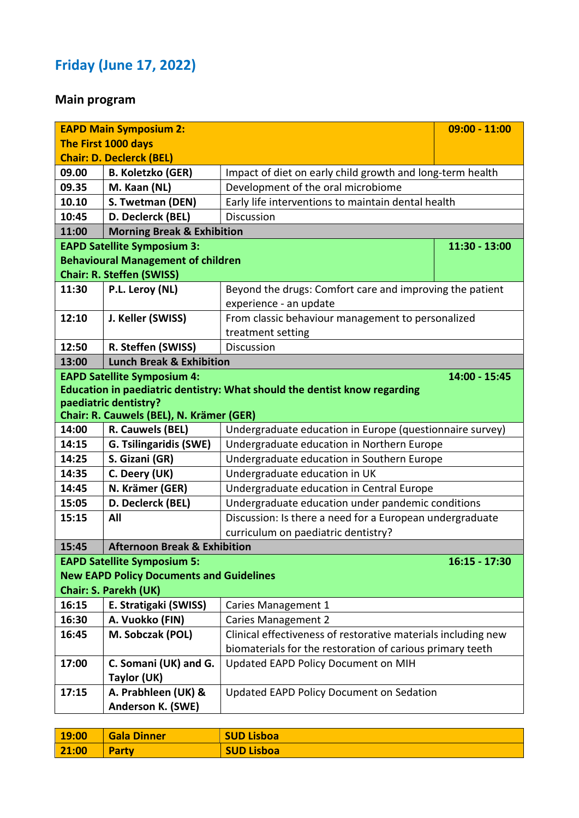# Friday (June 17, 2022)

### Main program

|       | <b>EAPD Main Symposium 2:</b>                   | $09:00 - 11:00$                                                           |                 |
|-------|-------------------------------------------------|---------------------------------------------------------------------------|-----------------|
|       | The First 1000 days                             |                                                                           |                 |
|       | <b>Chair: D. Declerck (BEL)</b>                 |                                                                           |                 |
| 09.00 | <b>B. Koletzko (GER)</b>                        | Impact of diet on early child growth and long-term health                 |                 |
| 09.35 | M. Kaan (NL)                                    | Development of the oral microbiome                                        |                 |
| 10.10 | S. Twetman (DEN)                                | Early life interventions to maintain dental health                        |                 |
| 10:45 | D. Declerck (BEL)                               | Discussion                                                                |                 |
| 11:00 | <b>Morning Break &amp; Exhibition</b>           |                                                                           |                 |
|       | <b>EAPD Satellite Symposium 3:</b>              |                                                                           | 11:30 - 13:00   |
|       | <b>Behavioural Management of children</b>       |                                                                           |                 |
|       | <b>Chair: R. Steffen (SWISS)</b>                |                                                                           |                 |
| 11:30 | P.L. Leroy (NL)                                 | Beyond the drugs: Comfort care and improving the patient                  |                 |
|       |                                                 | experience - an update                                                    |                 |
| 12:10 | J. Keller (SWISS)                               | From classic behaviour management to personalized                         |                 |
|       |                                                 | treatment setting                                                         |                 |
| 12:50 | R. Steffen (SWISS)                              | <b>Discussion</b>                                                         |                 |
| 13:00 | <b>Lunch Break &amp; Exhibition</b>             |                                                                           |                 |
|       | <b>EAPD Satellite Symposium 4:</b>              |                                                                           | 14:00 - 15:45   |
|       |                                                 | Education in paediatric dentistry: What should the dentist know regarding |                 |
|       | paediatric dentistry?                           |                                                                           |                 |
|       | Chair: R. Cauwels (BEL), N. Krämer (GER)        |                                                                           |                 |
| 14:00 | R. Cauwels (BEL)                                | Undergraduate education in Europe (questionnaire survey)                  |                 |
| 14:15 | <b>G. Tsilingaridis (SWE)</b>                   | Undergraduate education in Northern Europe                                |                 |
| 14:25 | S. Gizani (GR)                                  | Undergraduate education in Southern Europe                                |                 |
| 14:35 | C. Deery (UK)                                   | Undergraduate education in UK                                             |                 |
| 14:45 | N. Krämer (GER)                                 | Undergraduate education in Central Europe                                 |                 |
| 15:05 | D. Declerck (BEL)                               | Undergraduate education under pandemic conditions                         |                 |
| 15:15 | All                                             | Discussion: Is there a need for a European undergraduate                  |                 |
|       |                                                 | curriculum on paediatric dentistry?                                       |                 |
| 15:45 | <b>Afternoon Break &amp; Exhibition</b>         |                                                                           |                 |
|       | <b>EAPD Satellite Symposium 5:</b>              |                                                                           | $16:15 - 17:30$ |
|       | <b>New EAPD Policy Documents and Guidelines</b> |                                                                           |                 |
|       | <b>Chair: S. Parekh (UK)</b>                    |                                                                           |                 |
| 16:15 | E. Stratigaki (SWISS)                           | Caries Management 1                                                       |                 |
| 16:30 | A. Vuokko (FIN)                                 | <b>Caries Management 2</b>                                                |                 |
| 16:45 | M. Sobczak (POL)                                | Clinical effectiveness of restorative materials including new             |                 |
|       |                                                 | biomaterials for the restoration of carious primary teeth                 |                 |
| 17:00 | C. Somani (UK) and G.                           | Updated EAPD Policy Document on MIH                                       |                 |
|       | Taylor (UK)                                     |                                                                           |                 |
| 17:15 | A. Prabhleen (UK) &                             | <b>Updated EAPD Policy Document on Sedation</b>                           |                 |
|       | Anderson K. (SWE)                               |                                                                           |                 |

| 19:00 | Gala Dinner  | <b>SUD Lisboa</b> |
|-------|--------------|-------------------|
| 21:00 | <b>Party</b> | <b>SUD Lisboa</b> |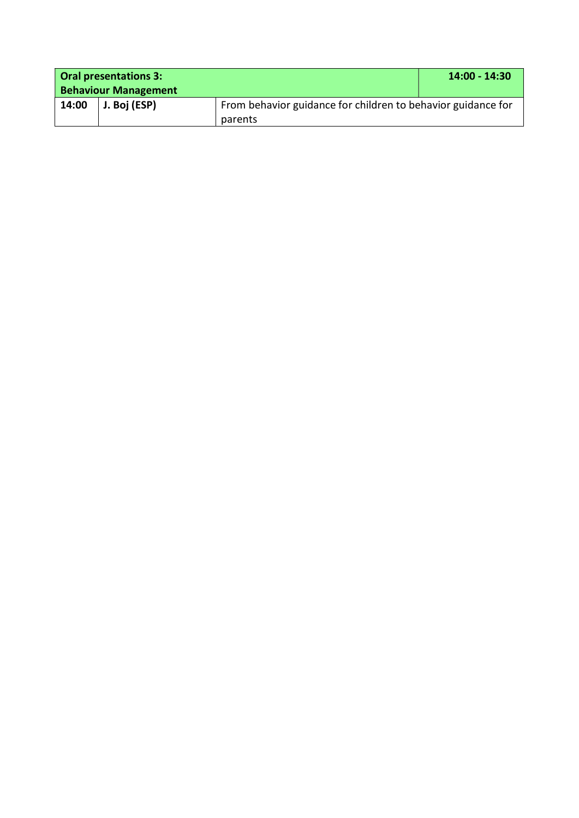| Oral presentations 3:       |              |                                                              | 14:00 - 14:30 |
|-----------------------------|--------------|--------------------------------------------------------------|---------------|
| <b>Behaviour Management</b> |              |                                                              |               |
| 14:00                       | J. Boj (ESP) | From behavior guidance for children to behavior guidance for |               |
|                             |              | parents                                                      |               |